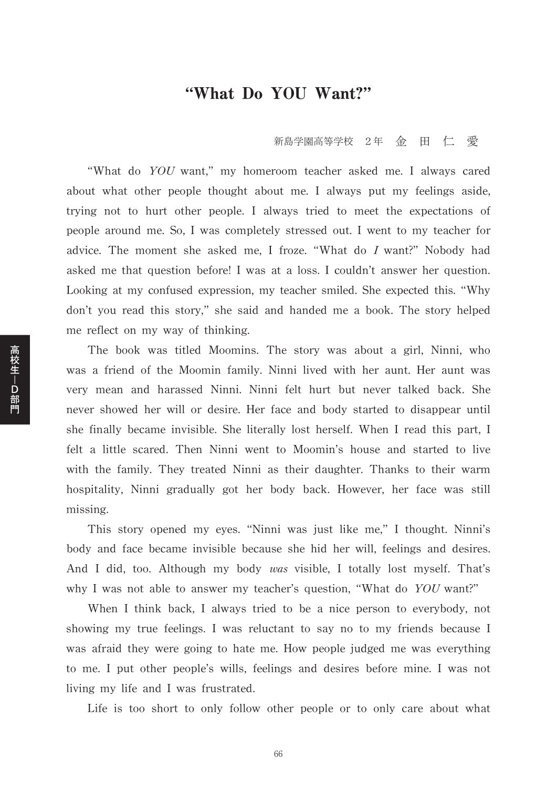## "What Do YOU Want?"

新島学園高等学校 2年 金 田 仁 愛

"What do YOU want," my homeroom teacher asked me. I always cared about what other people thought about me. I always put my feelings aside, trying not to hurt other people. I always tried to meet the expectations of people around me. So, I was completely stressed out. I went to my teacher for advice. The moment she asked me, I froze. "What do I want?" Nobody had asked me that question before! I was at a loss. I couldn't answer her question. Looking at my confused expression, my teacher smiled. She expected this. "Why don't you read this story," she said and handed me a book. The story helped me reflect on my way of thinking.

The book was titled Moomins. The story was about a girl, Ninni, who was a friend of the Moomin family. Ninni lived with her aunt. Her aunt was very mean and harassed Ninni. Ninni felt hurt but never talked back. She never showed her will or desire. Her face and body started to disappear until she finally became invisible. She literally lost herself. When I read this part, I felt a little scared. Then Ninni went to Moomin's house and started to live with the family. They treated Ninni as their daughter. Thanks to their warm hospitality, Ninni gradually got her body back. However, her face was still missing.

This story opened my eyes. "Ninni was just like me," I thought. Ninni's body and face became invisible because she hid her will, feelings and desires. And I did, too. Although my body was visible, I totally lost myself. That's why I was not able to answer my teacher's question, "What do YOU want?"

When I think back, I always tried to be a nice person to everybody, not showing my true feelings. I was reluctant to say no to my friends because I was afraid they were going to hate me. How people judged me was everything to me. I put other people's wills, feelings and desires before mine. I was not living my life and I was frustrated.

Life is too short to only follow other people or to only care about what

高校生-D部門